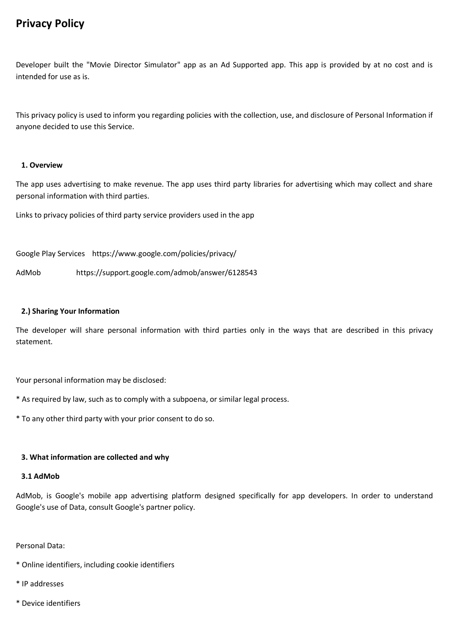# **Privacy Policy**

Developer built the "Movie Director Simulator" app as an Ad Supported app. This app is provided by at no cost and is intended for use as is.

This privacy policy is used to inform you regarding policies with the collection, use, and disclosure of Personal Information if anyone decided to use this Service.

# **1. Overview**

The app uses advertising to make revenue. The app uses third party libraries for advertising which may collect and share personal information with third parties.

Links to privacy policies of third party service providers used in the app

Google Play Services https://www.google.com/policies/privacy/

AdMob https://support.google.com/admob/answer/6128543

# **2.) Sharing Your Information**

The developer will share personal information with third parties only in the ways that are described in this privacy statement.

Your personal information may be disclosed:

- \* As required by law, such as to comply with a subpoena, or similar legal process.
- \* To any other third party with your prior consent to do so.

# **3. What information are collected and why**

# **3.1 AdMob**

AdMob, is Google's mobile app advertising platform designed specifically for app developers. In order to understand Google's use of Data, consult Google's partner policy.

Personal Data:

- \* Online identifiers, including cookie identifiers
- \* IP addresses
- \* Device identifiers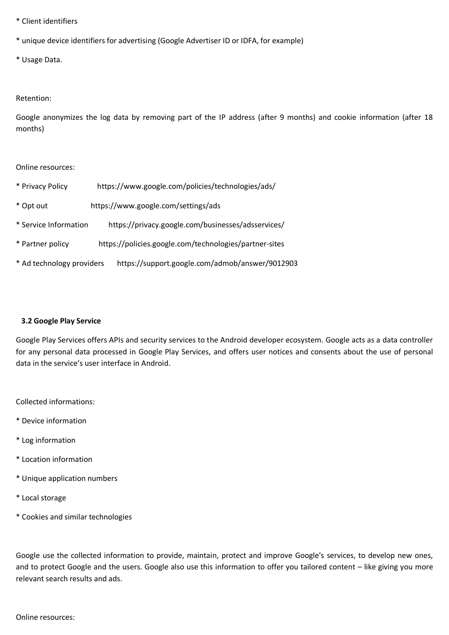- \* Client identifiers
- \* unique device identifiers for advertising (Google Advertiser ID or IDFA, for example)
- \* Usage Data.

# Retention:

Google anonymizes the log data by removing part of the IP address (after 9 months) and cookie information (after 18 months)

#### Online resources:

- \* Privacy Policy https://www.google.com/policies/technologies/ads/
- \* Opt out https://www.google.com/settings/ads
- \* Service Information https://privacy.google.com/businesses/adsservices/
- \* Partner policy https://policies.google.com/technologies/partner-sites
- \* Ad technology providers https://support.google.com/admob/answer/9012903

# **3.2 Google Play Service**

Google Play Services offers APIs and security services to the Android developer ecosystem. Google acts as a data controller for any personal data processed in Google Play Services, and offers user notices and consents about the use of personal data in the service's user interface in Android.

Collected informations:

- \* Device information
- \* Log information
- \* Location information
- \* Unique application numbers
- \* Local storage
- \* Cookies and similar technologies

Google use the collected information to provide, maintain, protect and improve Google's services, to develop new ones, and to protect Google and the users. Google also use this information to offer you tailored content – like giving you more relevant search results and ads.